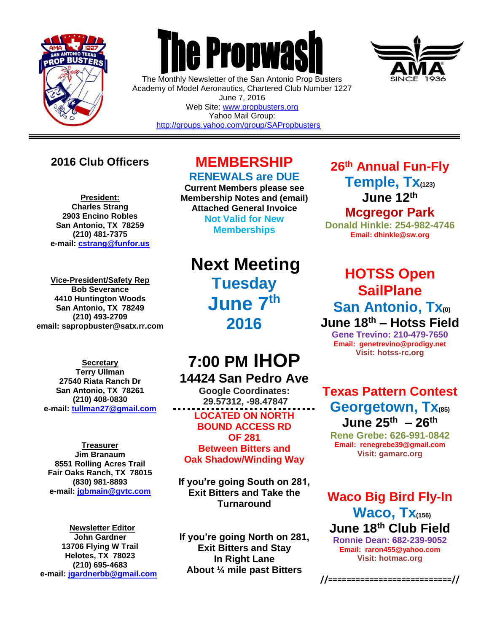

 $\overline{a}$ 

# **The Propwas**

The Monthly Newsletter of the San Antonio Prop Busters Academy of Model Aeronautics, Chartered Club Number 1227 June 7, 2016 Web Site: [www.propbusters.org](http://www.propbusters.org/) Yahoo Mail Group: <http://groups.yahoo.com/group/SAPropbusters>



### **2016 Club Officers**

**President: Charles Strang 2903 Encino Robles San Antonio, TX 78259 (210) 481-7375 e-mail: [cstrang@funfor.us](mailto:cstrang@funfor.us)**

**Vice-President/Safety Rep Bob Severance 4410 Huntington Woods San Antonio, TX 78249 (210) 493-2709 email: sapropbuster@satx.rr.com**

**Secretary Terry Ullman 27540 Riata Ranch Dr San Antonio, TX 78261 (210) 408-0830 e-mail: [tullman27@gmail.com](mailto:tullman27@gmail.com)**

**Treasurer Jim Branaum 8551 Rolling Acres Trail Fair Oaks Ranch, TX 78015 (830) 981-8893 e-mail: [jgbmain@gvtc.com](mailto:jgbmain@gvtc.com)**

**Newsletter Editor John Gardner 13706 Flying W Trail Helotes, TX 78023 (210) 695-4683 e-mail: [jgardnerbb@gmail.com](mailto:jgardnerbb@gmail.com)**

# **MEMBERSHIP**

**RENEWALS are DUE**

**Current Members please see Membership Notes and (email) Attached General Invoice Not Valid for New Memberships**

**Next Meeting Tuesday June 7th 2016**

# **7:00 PM IHOP**

**14424 San Pedro Ave Google Coordinates: 29.57312, -98.47847 LOCATED ON NORTH BOUND ACCESS RD OF 281 Between Bitters and Oak Shadow/Winding Way**

**If you're going South on 281, Exit Bitters and Take the Turnaround**

**If you're going North on 281, Exit Bitters and Stay In Right Lane About ¼ mile past Bitters**

**26th Annual Fun-Fly Temple, Tx(123) June 12th Mcgregor Park**

**Donald Hinkle: 254-982-4746 Email: dhinkle@sw.org**

## **HOTSS Open SailPlane San Antonio, Tx(0) June 18 th – Hotss Field**

**Gene Trevino: 210-479-7650 Email: genetrevino@prodigy.net Visit: hotss-rc.org**

**Texas Pattern Contest Georgetown, Tx(85) June 25th – 26th**

**Rene Grebe: 626-991-0842 Email: renegrebe39@gmail.com Visit: gamarc.org**

**Waco Big Bird Fly-In Waco, Tx(156) June 18th Club Field**

**Ronnie Dean: 682-239-9052 Email: raron455@yahoo.com Visit: hotmac.org**

**//===========================//**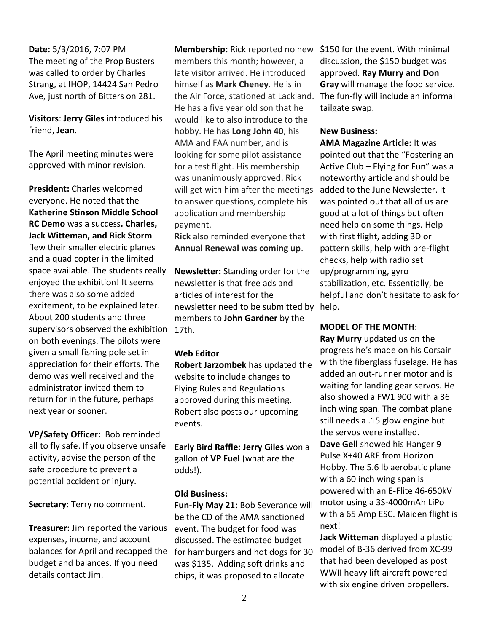**Date:** 5/3/2016, 7:07 PM The meeting of the Prop Busters was called to order by Charles Strang, at IHOP, 14424 San Pedro Ave, just north of Bitters on 281.

**Visitors**: **Jerry Giles** introduced his friend, **Jean**.

The April meeting minutes were approved with minor revision.

**President:** Charles welcomed everyone. He noted that the **Katherine Stinson Middle School RC Demo** was a success**. Charles, Jack Witteman, and Rick Storm** flew their smaller electric planes and a quad copter in the limited space available. The students really enjoyed the exhibition! It seems there was also some added excitement, to be explained later. About 200 students and three supervisors observed the exhibition on both evenings. The pilots were given a small fishing pole set in appreciation for their efforts. The demo was well received and the administrator invited them to return for in the future, perhaps next year or sooner.

**VP/Safety Officer:** Bob reminded all to fly safe. If you observe unsafe activity, advise the person of the safe procedure to prevent a potential accident or injury.

**Secretary:** Terry no comment.

**Treasurer:** Jim reported the various expenses, income, and account balances for April and recapped the budget and balances. If you need details contact Jim.

**Membership:** Rick reported no new members this month; however, a late visitor arrived. He introduced himself as **Mark Cheney**. He is in the Air Force, stationed at Lackland. He has a five year old son that he would like to also introduce to the hobby. He has **Long John 40**, his AMA and FAA number, and is looking for some pilot assistance for a test flight. His membership was unanimously approved. Rick will get with him after the meetings to answer questions, complete his application and membership payment.

**Rick** also reminded everyone that **Annual Renewal was coming up**.

**Newsletter:** Standing order for the newsletter is that free ads and articles of interest for the newsletter need to be submitted by help. members to **John Gardner** by the 17th.

#### **Web Editor**

**Robert Jarzombek** has updated the website to include changes to Flying Rules and Regulations approved during this meeting. Robert also posts our upcoming events.

**Early Bird Raffle: Jerry Giles** won a gallon of **VP Fuel** (what are the odds!).

#### **Old Business:**

**Fun-Fly May 21:** Bob Severance will be the CD of the AMA sanctioned event. The budget for food was discussed. The estimated budget for hamburgers and hot dogs for 30 was \$135. Adding soft drinks and chips, it was proposed to allocate

\$150 for the event. With minimal discussion, the \$150 budget was approved. **Ray Murry and Don Gray** will manage the food service. The fun-fly will include an informal tailgate swap.

#### **New Business:**

**AMA Magazine Article:** It was pointed out that the "Fostering an Active Club – Flying for Fun" was a noteworthy article and should be added to the June Newsletter. It was pointed out that all of us are good at a lot of things but often need help on some things. Help with first flight, adding 3D or pattern skills, help with pre-flight checks, help with radio set up/programming, gyro stabilization, etc. Essentially, be helpful and don't hesitate to ask for

#### **MODEL OF THE MONTH**:

**Ray Murry** updated us on the progress he's made on his Corsair with the fiberglass fuselage. He has added an out-runner motor and is waiting for landing gear servos. He also showed a FW1 900 with a 36 inch wing span. The combat plane still needs a .15 glow engine but the servos were installed. **Dave Gell** showed his Hanger 9 Pulse X+40 ARF from Horizon Hobby. The 5.6 lb aerobatic plane with a 60 inch wing span is powered with an E-Flite 46-650kV motor using a 3S-4000mAh LiPo with a 65 Amp ESC. Maiden flight is next!

**Jack Witteman** displayed a plastic model of B-36 derived from XC-99 that had been developed as post WWII heavy lift aircraft powered with six engine driven propellers.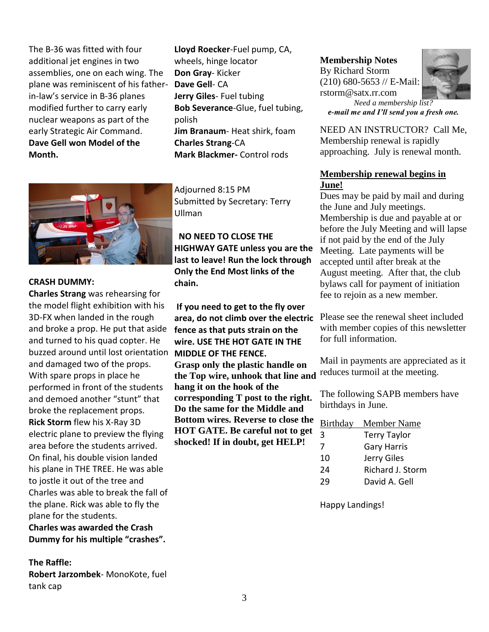The B-36 was fitted with four additional jet engines in two assemblies, one on each wing. The plane was reminiscent of his fatherin-law's service in B-36 planes modified further to carry early nuclear weapons as part of the early Strategic Air Command. **Dave Gell won Model of the Month.**



#### **CRASH DUMMY:**

**Charles Strang** was rehearsing for the model flight exhibition with his 3D-FX when landed in the rough and broke a prop. He put that aside and turned to his quad copter. He buzzed around until lost orientation and damaged two of the props. With spare props in place he performed in front of the students and demoed another "stunt" that broke the replacement props. **Rick Storm** flew his X-Ray 3D electric plane to preview the flying area before the students arrived. On final, his double vision landed his plane in THE TREE. He was able to jostle it out of the tree and Charles was able to break the fall of the plane. Rick was able to fly the plane for the students.

**Charles was awarded the Crash Dummy for his multiple "crashes".**

#### **The Raffle:**

**Robert Jarzombek**- MonoKote, fuel tank cap

**Lloyd Roecker**-Fuel pump, CA, wheels, hinge locator **Don Gray**- Kicker **Dave Gell**- CA **Jerry Giles**- Fuel tubing **Bob Severance**-Glue, fuel tubing, polish **Jim Branaum**- Heat shirk, foam **Charles Strang**-CA **Mark Blackmer-** Control rods

Adjourned 8:15 PM Submitted by Secretary: Terry Ullman

 **NO NEED TO CLOSE THE HIGHWAY GATE unless you are the last to leave! Run the lock through Only the End Most links of the chain.**

**If you need to get to the fly over area, do not climb over the electric fence as that puts strain on the wire. USE THE HOT GATE IN THE MIDDLE OF THE FENCE. Grasp only the plastic handle on the Top wire, unhook that line and hang it on the hook of the corresponding T post to the right. Do the same for the Middle and Bottom wires. Reverse to close the HOT GATE. Be careful not to get shocked! If in doubt, get HELP!**

#### **Membership Notes**

By Richard Storm (210) 680-5653 // E-Mail: rstorm@satx.rr.com



*Need a membership list? e-mail me and I'll send you a fresh one.*

NEED AN INSTRUCTOR? Call Me, Membership renewal is rapidly approaching. July is renewal month.

#### **Membership renewal begins in June!**

Dues may be paid by mail and during the June and July meetings. Membership is due and payable at or before the July Meeting and will lapse if not paid by the end of the July Meeting. Late payments will be accepted until after break at the August meeting. After that, the club bylaws call for payment of initiation fee to rejoin as a new member.

Please see the renewal sheet included with member copies of this newsletter for full information.

Mail in payments are appreciated as it reduces turmoil at the meeting.

The following SAPB members have birthdays in June.

| Birthday | Member Name         |
|----------|---------------------|
| 3        | <b>Terry Taylor</b> |
| 7        | <b>Gary Harris</b>  |
| 10       | Jerry Giles         |
| 24       | Richard J. Storm    |
| 29       | David A. Gell       |

Happy Landings!